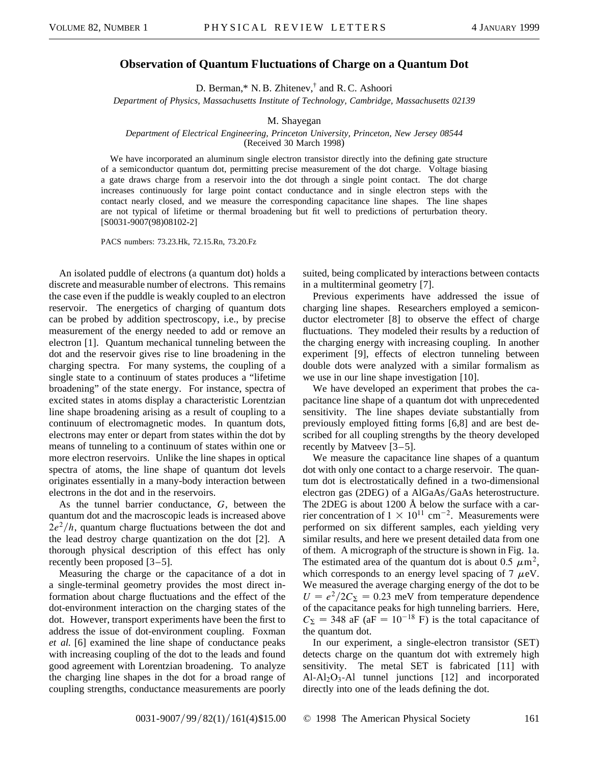## **Observation of Quantum Fluctuations of Charge on a Quantum Dot**

D. Berman,\* N. B. Zhitenev,† and R. C. Ashoori

*Department of Physics, Massachusetts Institute of Technology, Cambridge, Massachusetts 02139*

## M. Shayegan

## *Department of Electrical Engineering, Princeton University, Princeton, New Jersey 08544* (Received 30 March 1998)

We have incorporated an aluminum single electron transistor directly into the defining gate structure of a semiconductor quantum dot, permitting precise measurement of the dot charge. Voltage biasing a gate draws charge from a reservoir into the dot through a single point contact. The dot charge increases continuously for large point contact conductance and in single electron steps with the contact nearly closed, and we measure the corresponding capacitance line shapes. The line shapes are not typical of lifetime or thermal broadening but fit well to predictions of perturbation theory. [S0031-9007(98)08102-2]

PACS numbers: 73.23.Hk, 72.15.Rn, 73.20.Fz

An isolated puddle of electrons (a quantum dot) holds a discrete and measurable number of electrons. This remains the case even if the puddle is weakly coupled to an electron reservoir. The energetics of charging of quantum dots can be probed by addition spectroscopy, i.e., by precise measurement of the energy needed to add or remove an electron [1]. Quantum mechanical tunneling between the dot and the reservoir gives rise to line broadening in the charging spectra. For many systems, the coupling of a single state to a continuum of states produces a "lifetime broadening" of the state energy. For instance, spectra of excited states in atoms display a characteristic Lorentzian line shape broadening arising as a result of coupling to a continuum of electromagnetic modes. In quantum dots, electrons may enter or depart from states within the dot by means of tunneling to a continuum of states within one or more electron reservoirs. Unlike the line shapes in optical spectra of atoms, the line shape of quantum dot levels originates essentially in a many-body interaction between electrons in the dot and in the reservoirs.

As the tunnel barrier conductance, *G*, between the quantum dot and the macroscopic leads is increased above  $2e^{2}/h$ , quantum charge fluctuations between the dot and the lead destroy charge quantization on the dot [2]. A thorough physical description of this effect has only recently been proposed [3–5].

Measuring the charge or the capacitance of a dot in a single-terminal geometry provides the most direct information about charge fluctuations and the effect of the dot-environment interaction on the charging states of the dot. However, transport experiments have been the first to address the issue of dot-environment coupling. Foxman *et al.* [6] examined the line shape of conductance peaks with increasing coupling of the dot to the leads and found good agreement with Lorentzian broadening. To analyze the charging line shapes in the dot for a broad range of coupling strengths, conductance measurements are poorly

suited, being complicated by interactions between contacts in a multiterminal geometry [7].

Previous experiments have addressed the issue of charging line shapes. Researchers employed a semiconductor electrometer [8] to observe the effect of charge fluctuations. They modeled their results by a reduction of the charging energy with increasing coupling. In another experiment [9], effects of electron tunneling between double dots were analyzed with a similar formalism as we use in our line shape investigation [10].

We have developed an experiment that probes the capacitance line shape of a quantum dot with unprecedented sensitivity. The line shapes deviate substantially from previously employed fitting forms [6,8] and are best described for all coupling strengths by the theory developed recently by Matveev [3–5].

We measure the capacitance line shapes of a quantum dot with only one contact to a charge reservoir. The quantum dot is electrostatically defined in a two-dimensional electron gas (2DEG) of a AlGaAs/GaAs heterostructure. The 2DEG is about 1200 Å below the surface with a carrier concentration of  $1 \times 10^{11}$  cm<sup>-2</sup>. Measurements were performed on six different samples, each yielding very similar results, and here we present detailed data from one of them. A micrograph of the structure is shown in Fig. 1a. The estimated area of the quantum dot is about 0.5  $\mu$ m<sup>2</sup>, which corresponds to an energy level spacing of  $7 \mu eV$ . We measured the average charging energy of the dot to be  $U = e^2/2C_S = 0.23$  meV from temperature dependence of the capacitance peaks for high tunneling barriers. Here,  $C_{\Sigma}$  = 348 aF (aF = 10<sup>-18</sup> F) is the total capacitance of the quantum dot.

In our experiment, a single-electron transistor (SET) detects charge on the quantum dot with extremely high sensitivity. The metal SET is fabricated [11] with  $Al-Al<sub>2</sub>O<sub>3</sub>-Al$  tunnel junctions [12] and incorporated directly into one of the leads defining the dot.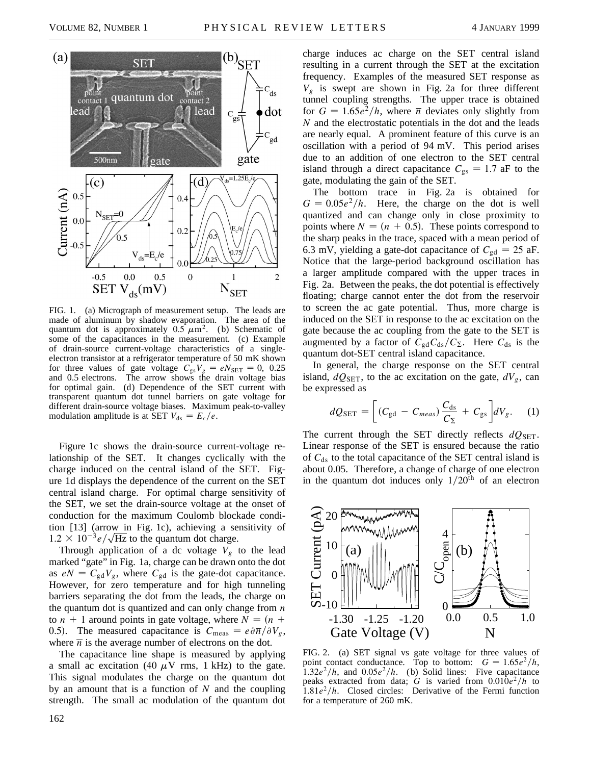

FIG. 1. (a) Micrograph of measurement setup. The leads are made of aluminum by shadow evaporation. The area of the quantum dot is approximately  $0.5 \mu m^2$ . (b) Schematic of some of the capacitances in the measurement. (c) Example of drain-source current-voltage characteristics of a singleelectron transistor at a refrigerator temperature of 50 mK shown for three values of gate voltage  $C_{gs}V_g = eN_{SET} = 0$ , 0.25 and 0.5 electrons. The arrow shows the drain voltage bias for optimal gain. (d) Dependence of the SET current with transparent quantum dot tunnel barriers on gate voltage for different drain-source voltage biases. Maximum peak-to-valley modulation amplitude is at SET  $V_{ds} = E_c/e$ .

Figure 1c shows the drain-source current-voltage relationship of the SET. It changes cyclically with the charge induced on the central island of the SET. Figure 1d displays the dependence of the current on the SET central island charge. For optimal charge sensitivity of the SET, we set the drain-source voltage at the onset of conduction for the maximum Coulomb blockade condition [13] (arrow in Fig. 1c), achieving a sensitivity of  $1.2 \times 10^{-3} e/\sqrt{\text{Hz}}$  to the quantum dot charge.

Through application of a dc voltage  $V_g$  to the lead marked "gate" in Fig. 1a, charge can be drawn onto the dot as  $eN = C_{gd}V_g$ , where  $C_{gd}$  is the gate-dot capacitance. However, for zero temperature and for high tunneling barriers separating the dot from the leads, the charge on the quantum dot is quantized and can only change from *n* to  $n + 1$  around points in gate voltage, where  $N = (n + 1)$ 0.5). The measured capacitance is  $C_{\text{meas}} = e \partial \overline{n}/\partial V_g$ , where  $\overline{n}$  is the average number of electrons on the dot.

The capacitance line shape is measured by applying a small ac excitation (40  $\mu$ V rms, 1 kHz) to the gate. This signal modulates the charge on the quantum dot by an amount that is a function of *N* and the coupling strength. The small ac modulation of the quantum dot charge induces ac charge on the SET central island resulting in a current through the SET at the excitation frequency. Examples of the measured SET response as  $V_g$  is swept are shown in Fig. 2a for three different tunnel coupling strengths. The upper trace is obtained for  $G = 1.65e^2/h$ , where  $\overline{n}$  deviates only slightly from *N* and the electrostatic potentials in the dot and the leads are nearly equal. A prominent feature of this curve is an oscillation with a period of 94 mV. This period arises due to an addition of one electron to the SET central island through a direct capacitance  $C_{gs} = 1.7$  aF to the gate, modulating the gain of the SET.

The bottom trace in Fig. 2a is obtained for  $G = 0.05e^2/h$ . Here, the charge on the dot is well quantized and can change only in close proximity to points where  $N = (n + 0.5)$ . These points correspond to the sharp peaks in the trace, spaced with a mean period of 6.3 mV, yielding a gate-dot capacitance of  $C_{gd} = 25$  aF. Notice that the large-period background oscillation has a larger amplitude compared with the upper traces in Fig. 2a. Between the peaks, the dot potential is effectively floating; charge cannot enter the dot from the reservoir to screen the ac gate potential. Thus, more charge is induced on the SET in response to the ac excitation on the gate because the ac coupling from the gate to the SET is augmented by a factor of  $C_{gd}C_{ds}/C_{\Sigma}$ . Here  $C_{ds}$  is the quantum dot-SET central island capacitance.

In general, the charge response on the SET central island,  $dQ_{\text{SET}}$ , to the ac excitation on the gate,  $dV_g$ , can be expressed as

$$
dQ_{\text{SET}} = \left[ (C_{\text{gd}} - C_{meas}) \frac{C_{\text{ds}}}{C_{\Sigma}} + C_{\text{gs}} \right] dV_g. \quad (1)
$$

The current through the SET directly reflects  $dQ_{\text{SET}}$ . Linear response of the SET is ensured because the ratio of  $C_{ds}$  to the total capacitance of the SET central island is about 0.05. Therefore, a change of charge of one electron in the quantum dot induces only  $1/20<sup>th</sup>$  of an electron



FIG. 2. (a) SET signal vs gate voltage for three values of point contact conductance. Top to bottom:  $G = 1.65e^2/h$ ,  $\int$ 1.32*e*<sup>2</sup>/*h*, and 0.05*e*<sup>2</sup>/*h*. (b) Solid lines: Five capacitance peaks extracted from data; *G* is varied from  $0.010e^2/h$  to  $1.81e^2/h$ . Closed circles: Derivative of the Fermi function for a temperature of 260 mK.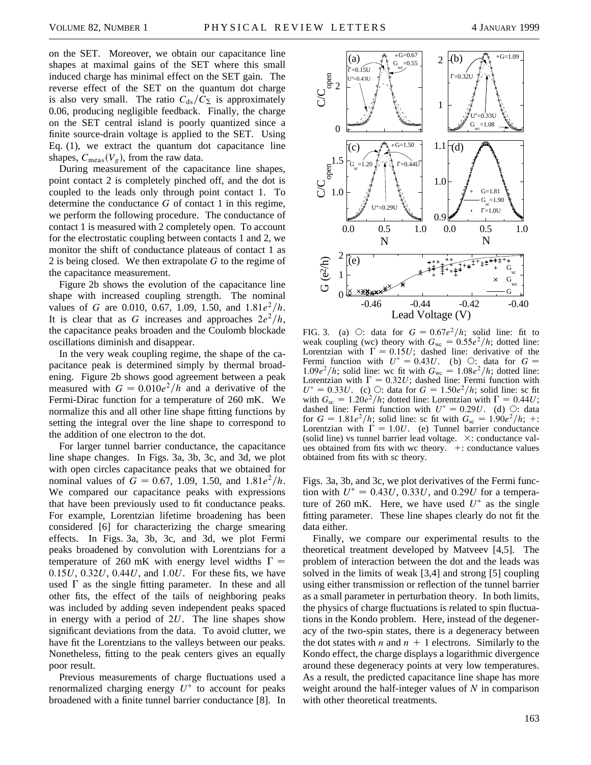on the SET. Moreover, we obtain our capacitance line shapes at maximal gains of the SET where this small induced charge has minimal effect on the SET gain. The reverse effect of the SET on the quantum dot charge is also very small. The ratio  $C_{ds}/C_{\Sigma}$  is approximately 0.06, producing negligible feedback. Finally, the charge on the SET central island is poorly quantized since a finite source-drain voltage is applied to the SET. Using Eq. (1), we extract the quantum dot capacitance line shapes,  $C_{\text{meas}}(V_g)$ , from the raw data.

During measurement of the capacitance line shapes, point contact 2 is completely pinched off, and the dot is coupled to the leads only through point contact 1. To determine the conductance *G* of contact 1 in this regime, we perform the following procedure. The conductance of contact 1 is measured with 2 completely open. To account for the electrostatic coupling between contacts 1 and 2, we monitor the shift of conductance plateaus of contact 1 as 2 is being closed. We then extrapolate *G* to the regime of the capacitance measurement.

Figure 2b shows the evolution of the capacitance line shape with increased coupling strength. The nominal values of *G* are 0.010, 0.67, 1.09, 1.50, and  $1.81e^2/h$ . It is clear that as *G* increases and approaches  $2e^2/h$ , the capacitance peaks broaden and the Coulomb blockade oscillations diminish and disappear.

In the very weak coupling regime, the shape of the capacitance peak is determined simply by thermal broadening. Figure 2b shows good agreement between a peak measured with  $G = 0.010e^2/h$  and a derivative of the Fermi-Dirac function for a temperature of 260 mK. We normalize this and all other line shape fitting functions by setting the integral over the line shape to correspond to the addition of one electron to the dot.

For larger tunnel barrier conductance, the capacitance line shape changes. In Figs. 3a, 3b, 3c, and 3d, we plot with open circles capacitance peaks that we obtained for nominal values of  $G = 0.67, 1.09, 1.50,$  and  $1.81e^2/h$ . We compared our capacitance peaks with expressions that have been previously used to fit conductance peaks. For example, Lorentzian lifetime broadening has been considered [6] for characterizing the charge smearing effects. In Figs. 3a, 3b, 3c, and 3d, we plot Fermi peaks broadened by convolution with Lorentzians for a temperature of 260 mK with energy level widths  $\Gamma =$ 0.15*U*, 0.32*U*, 0.44*U*, and 1.0*U*. For these fits, we have used  $\Gamma$  as the single fitting parameter. In these and all other fits, the effect of the tails of neighboring peaks was included by adding seven independent peaks spaced in energy with a period of 2*U*. The line shapes show significant deviations from the data. To avoid clutter, we have fit the Lorentzians to the valleys between our peaks. Nonetheless, fitting to the peak centers gives an equally poor result.

Previous measurements of charge fluctuations used a renormalized charging energy  $U^*$  to account for peaks broadened with a finite tunnel barrier conductance [8]. In



FIG. 3. (a)  $\bigcirc$ : data for  $G = 0.67e^2/h$ ; solid line: fit to weak coupling (wc) theory with  $G_{wc} = 0.55e^2/h$ ; dotted line: Lorentzian with  $\Gamma = 0.15U$ ; dashed line: derivative of the Fermi function with  $U^* = 0.43U$ . (b)  $\bigcirc$ : data for  $G =$ 1.09 $e^2/h$ ; solid line: wc fit with  $G_{wc} = 1.08e^2/h$ ; dotted line: Lorentzian with  $\Gamma = 0.32U$ ; dashed line: Fermi function with  $U^* = 0.33U$ . (c)  $\bigcirc$ : data for  $G = 1.50e^2/h$ ; solid line: sc fit with  $G_{\rm sc} = 1.20e^2/h$ ; dotted line: Lorentzian with  $\Gamma = 0.44U$ ; dashed line: Fermi function with  $U^* = 0.29U$ . (d)  $\bigcirc$ : data for  $G = 1.81e^2/h$ ; solid line: sc fit with  $G_{sc} = 1.90e^2/h$ ; +: Lorentzian with  $\Gamma = 1.0U$ . (e) Tunnel barrier conductance (solid line) vs tunnel barrier lead voltage.  $\times$ : conductance values obtained from fits with wc theory.  $+$ : conductance values obtained from fits with sc theory.

Figs. 3a, 3b, and 3c, we plot derivatives of the Fermi function with  $U^* = 0.43U$ , 0.33*U*, and 0.29*U* for a temperature of 260 mK. Here, we have used  $U^*$  as the single fitting parameter. These line shapes clearly do not fit the data either.

Finally, we compare our experimental results to the theoretical treatment developed by Matveev [4,5]. The problem of interaction between the dot and the leads was solved in the limits of weak [3,4] and strong [5] coupling using either transmission or reflection of the tunnel barrier as a small parameter in perturbation theory. In both limits, the physics of charge fluctuations is related to spin fluctuations in the Kondo problem. Here, instead of the degeneracy of the two-spin states, there is a degeneracy between the dot states with *n* and  $n + 1$  electrons. Similarly to the Kondo effect, the charge displays a logarithmic divergence around these degeneracy points at very low temperatures. As a result, the predicted capacitance line shape has more weight around the half-integer values of *N* in comparison with other theoretical treatments.